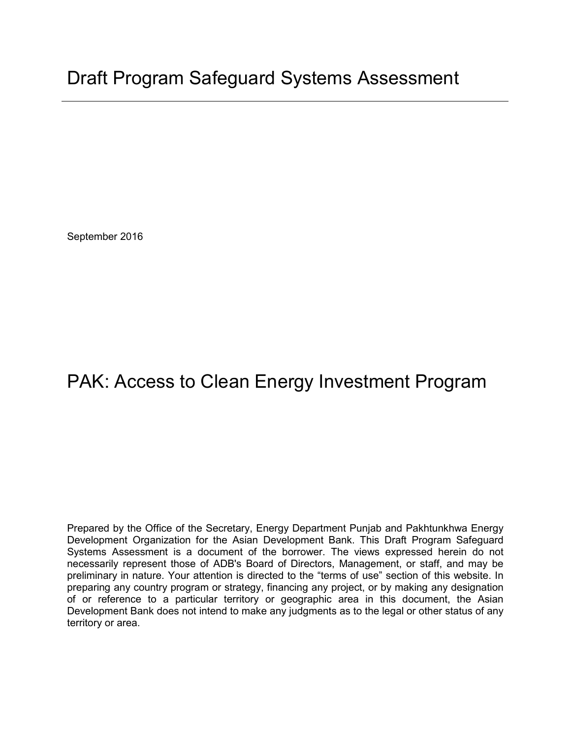September 2016

# PAK: Access to Clean Energy Investment Program

Prepared by the Office of the Secretary, Energy Department Punjab and Pakhtunkhwa Energy Development Organization for the Asian Development Bank. This Draft Program Safeguard Systems Assessment is a document of the borrower. The views expressed herein do not necessarily represent those of ADB's Board of Directors, Management, or staff, and may be preliminary in nature. Your attention is directed to the "terms of use" section of this website. In preparing any country program or strategy, financing any project, or by making any designation of or reference to a particular territory or geographic area in this document, the Asian Development Bank does not intend to make any judgments as to the legal or other status of any territory or area.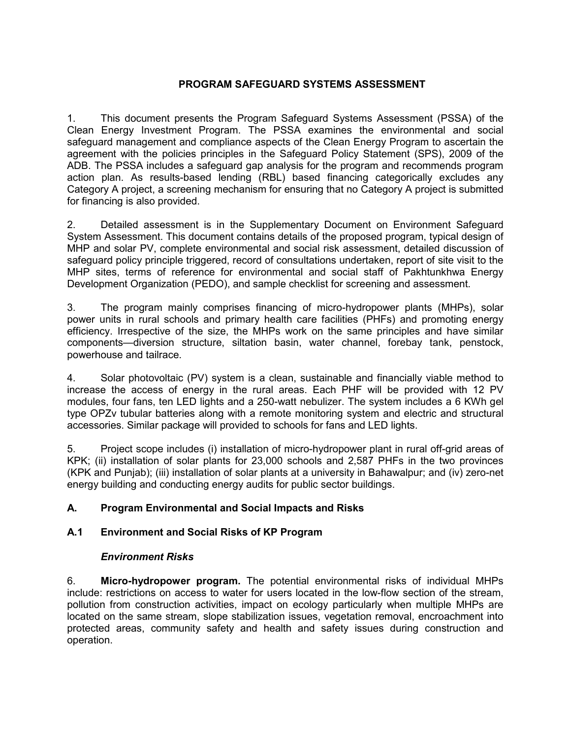#### **PROGRAM SAFEGUARD SYSTEMS ASSESSMENT**

1. This document presents the Program Safeguard Systems Assessment (PSSA) of the Clean Energy Investment Program. The PSSA examines the environmental and social safeguard management and compliance aspects of the Clean Energy Program to ascertain the agreement with the policies principles in the Safeguard Policy Statement (SPS), 2009 of the ADB. The PSSA includes a safeguard gap analysis for the program and recommends program action plan. As results-based lending (RBL) based financing categorically excludes any Category A project, a screening mechanism for ensuring that no Category A project is submitted for financing is also provided.

2. Detailed assessment is in the Supplementary Document on Environment Safeguard System Assessment. This document contains details of the proposed program, typical design of MHP and solar PV, complete environmental and social risk assessment, detailed discussion of safeguard policy principle triggered, record of consultations undertaken, report of site visit to the MHP sites, terms of reference for environmental and social staff of Pakhtunkhwa Energy Development Organization (PEDO), and sample checklist for screening and assessment.

3. The program mainly comprises financing of micro-hydropower plants (MHPs), solar power units in rural schools and primary health care facilities (PHFs) and promoting energy efficiency. Irrespective of the size, the MHPs work on the same principles and have similar components—diversion structure, siltation basin, water channel, forebay tank, penstock, powerhouse and tailrace.

4. Solar photovoltaic (PV) system is a clean, sustainable and financially viable method to increase the access of energy in the rural areas. Each PHF will be provided with 12 PV modules, four fans, ten LED lights and a 250-watt nebulizer. The system includes a 6 KWh gel type OPZv tubular batteries along with a remote monitoring system and electric and structural accessories. Similar package will provided to schools for fans and LED lights.

5. Project scope includes (i) installation of micro-hydropower plant in rural off-grid areas of KPK; (ii) installation of solar plants for 23,000 schools and 2,587 PHFs in the two provinces (KPK and Punjab); (iii) installation of solar plants at a university in Bahawalpur; and (iv) zero-net energy building and conducting energy audits for public sector buildings.

## **A. Program Environmental and Social Impacts and Risks**

## **A.1 Environment and Social Risks of KP Program**

#### *Environment Risks*

6. **Micro-hydropower program.** The potential environmental risks of individual MHPs include: restrictions on access to water for users located in the low-flow section of the stream, pollution from construction activities, impact on ecology particularly when multiple MHPs are located on the same stream, slope stabilization issues, vegetation removal, encroachment into protected areas, community safety and health and safety issues during construction and operation.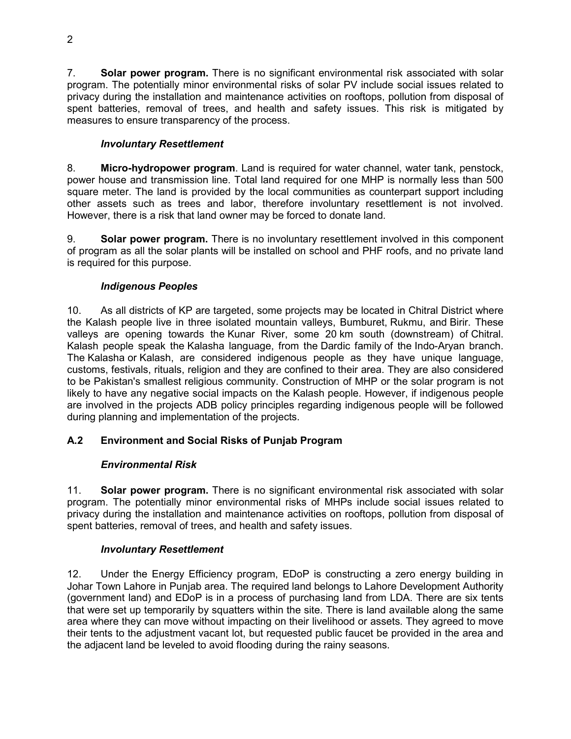7. **Solar power program.** There is no significant environmental risk associated with solar program. The potentially minor environmental risks of solar PV include social issues related to privacy during the installation and maintenance activities on rooftops, pollution from disposal of spent batteries, removal of trees, and health and safety issues. This risk is mitigated by measures to ensure transparency of the process.

# *Involuntary Resettlement*

8. **Micro-hydropower program**. Land is required for water channel, water tank, penstock, power house and transmission line. Total land required for one MHP is normally less than 500 square meter. The land is provided by the local communities as counterpart support including other assets such as trees and labor, therefore involuntary resettlement is not involved. However, there is a risk that land owner may be forced to donate land.

9. **Solar power program.** There is no involuntary resettlement involved in this component of program as all the solar plants will be installed on school and PHF roofs, and no private land is required for this purpose.

# *Indigenous Peoples*

10. As all districts of KP are targeted, some projects may be located in Chitral District where the Kalash people live in three isolated mountain valleys, Bumburet, Rukmu, and Birir. These valleys are opening towards the Kunar River, some 20 km south (downstream) of Chitral. Kalash people speak the Kalasha language, from the Dardic family of the Indo-Aryan branch. The Kalasha or Kalash, are considered indigenous people as they have unique language, customs, festivals, rituals, religion and they are confined to their area. They are also considered to be Pakistan's smallest religious community. Construction of MHP or the solar program is not likely to have any negative social impacts on the Kalash people. However, if indigenous people are involved in the projects ADB policy principles regarding indigenous people will be followed during planning and implementation of the projects.

# **A.2 Environment and Social Risks of Punjab Program**

# *Environmental Risk*

11. **Solar power program.** There is no significant environmental risk associated with solar program. The potentially minor environmental risks of MHPs include social issues related to privacy during the installation and maintenance activities on rooftops, pollution from disposal of spent batteries, removal of trees, and health and safety issues.

# *Involuntary Resettlement*

12. Under the Energy Efficiency program, EDoP is constructing a zero energy building in Johar Town Lahore in Punjab area. The required land belongs to Lahore Development Authority (government land) and EDoP is in a process of purchasing land from LDA. There are six tents that were set up temporarily by squatters within the site. There is land available along the same area where they can move without impacting on their livelihood or assets. They agreed to move their tents to the adjustment vacant lot, but requested public faucet be provided in the area and the adjacent land be leveled to avoid flooding during the rainy seasons.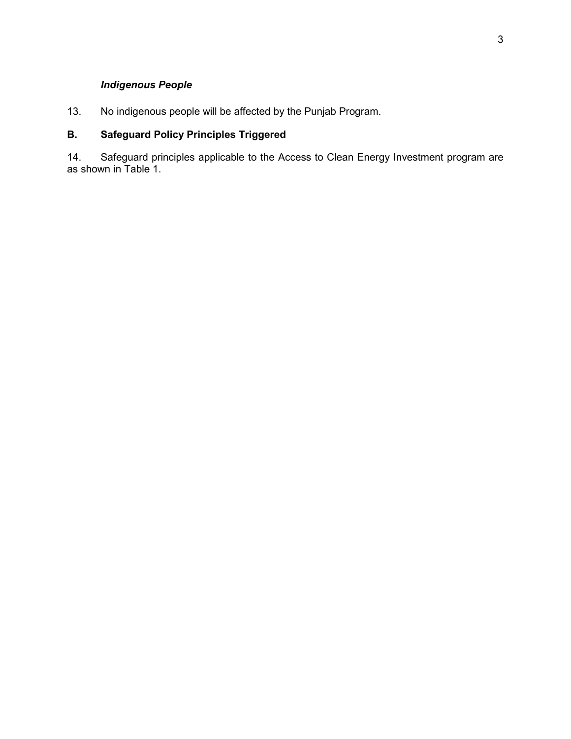# *Indigenous People*

13. No indigenous people will be affected by the Punjab Program.

# **B. Safeguard Policy Principles Triggered**

14. Safeguard principles applicable to the Access to Clean Energy Investment program are as shown in Table 1.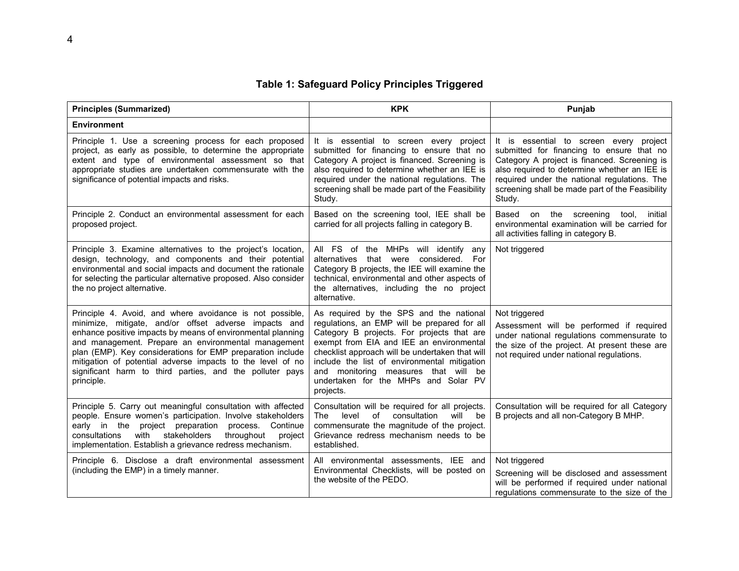## **Table 1: Safeguard Policy Principles Triggered**

| <b>Principles (Summarized)</b>                                                                                                                                                                                                                                                                                                                                                                                                                | <b>KPK</b>                                                                                                                                                                                                                                                                                                                                                                        | Punjab                                                                                                                                                                                                                                                                                            |  |
|-----------------------------------------------------------------------------------------------------------------------------------------------------------------------------------------------------------------------------------------------------------------------------------------------------------------------------------------------------------------------------------------------------------------------------------------------|-----------------------------------------------------------------------------------------------------------------------------------------------------------------------------------------------------------------------------------------------------------------------------------------------------------------------------------------------------------------------------------|---------------------------------------------------------------------------------------------------------------------------------------------------------------------------------------------------------------------------------------------------------------------------------------------------|--|
| <b>Environment</b>                                                                                                                                                                                                                                                                                                                                                                                                                            |                                                                                                                                                                                                                                                                                                                                                                                   |                                                                                                                                                                                                                                                                                                   |  |
| Principle 1. Use a screening process for each proposed<br>project, as early as possible, to determine the appropriate<br>extent and type of environmental assessment so that<br>appropriate studies are undertaken commensurate with the<br>significance of potential impacts and risks.                                                                                                                                                      | It is essential to screen every project<br>submitted for financing to ensure that no<br>Category A project is financed. Screening is<br>also required to determine whether an IEE is<br>required under the national regulations. The<br>screening shall be made part of the Feasibility<br>Study.                                                                                 | It is essential to screen every project<br>submitted for financing to ensure that no<br>Category A project is financed. Screening is<br>also required to determine whether an IEE is<br>required under the national regulations. The<br>screening shall be made part of the Feasibility<br>Study. |  |
| Principle 2. Conduct an environmental assessment for each<br>proposed project.                                                                                                                                                                                                                                                                                                                                                                | Based on the screening tool, IEE shall be<br>carried for all projects falling in category B.                                                                                                                                                                                                                                                                                      | Based on the screening<br>tool.<br>initial<br>environmental examination will be carried for<br>all activities falling in category B.                                                                                                                                                              |  |
| Principle 3. Examine alternatives to the project's location,<br>design, technology, and components and their potential<br>environmental and social impacts and document the rationale<br>for selecting the particular alternative proposed. Also consider<br>the no project alternative.                                                                                                                                                      | All FS of the MHPs will identify any<br>alternatives that were considered. For<br>Category B projects, the IEE will examine the<br>technical, environmental and other aspects of<br>the alternatives, including the no project<br>alternative.                                                                                                                                    | Not triggered                                                                                                                                                                                                                                                                                     |  |
| Principle 4. Avoid, and where avoidance is not possible,<br>minimize, mitigate, and/or offset adverse impacts and<br>enhance positive impacts by means of environmental planning<br>and management. Prepare an environmental management<br>plan (EMP). Key considerations for EMP preparation include<br>mitigation of potential adverse impacts to the level of no<br>significant harm to third parties, and the polluter pays<br>principle. | As required by the SPS and the national<br>regulations, an EMP will be prepared for all<br>Category B projects. For projects that are<br>exempt from EIA and IEE an environmental<br>checklist approach will be undertaken that will<br>include the list of environmental mitigation<br>and monitoring measures that will be<br>undertaken for the MHPs and Solar PV<br>projects. | Not triggered<br>Assessment will be performed if required<br>under national regulations commensurate to<br>the size of the project. At present these are<br>not required under national regulations.                                                                                              |  |
| Principle 5. Carry out meaningful consultation with affected<br>people. Ensure women's participation. Involve stakeholders<br>early in the project preparation<br>process. Continue<br>stakeholders<br>throughout<br>consultations<br>with<br>project<br>implementation. Establish a grievance redress mechanism.                                                                                                                             | Consultation will be required for all projects.<br>consultation<br>level<br>of<br>will be<br>The<br>commensurate the magnitude of the project.<br>Grievance redress mechanism needs to be<br>established.                                                                                                                                                                         | Consultation will be required for all Category<br>B projects and all non-Category B MHP.                                                                                                                                                                                                          |  |
| Principle 6. Disclose a draft environmental assessment<br>(including the EMP) in a timely manner.                                                                                                                                                                                                                                                                                                                                             | All environmental assessments, IEE and<br>Environmental Checklists, will be posted on<br>the website of the PEDO.                                                                                                                                                                                                                                                                 | Not triggered<br>Screening will be disclosed and assessment<br>will be performed if required under national<br>regulations commensurate to the size of the                                                                                                                                        |  |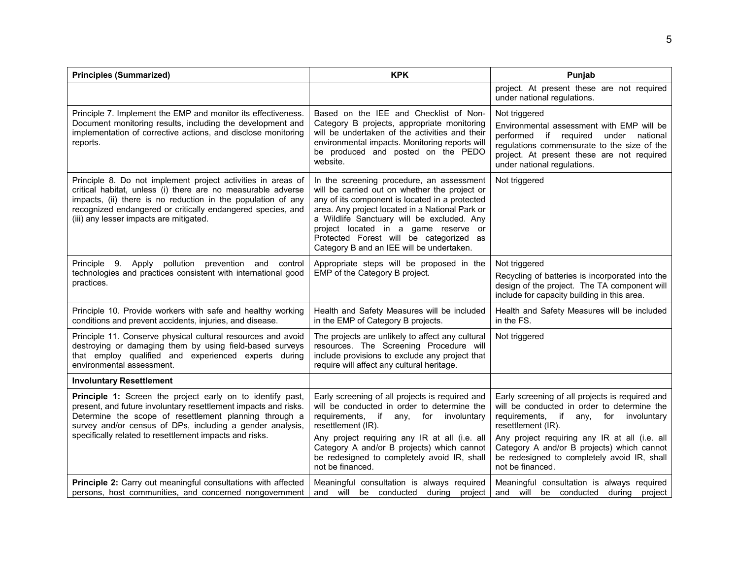| <b>Principles (Summarized)</b>                                                                                                                                                                                                                                                                                  | <b>KPK</b>                                                                                                                                                                                                                                                                                                                                                                    | Punjab                                                                                                                                                                                                                            |
|-----------------------------------------------------------------------------------------------------------------------------------------------------------------------------------------------------------------------------------------------------------------------------------------------------------------|-------------------------------------------------------------------------------------------------------------------------------------------------------------------------------------------------------------------------------------------------------------------------------------------------------------------------------------------------------------------------------|-----------------------------------------------------------------------------------------------------------------------------------------------------------------------------------------------------------------------------------|
|                                                                                                                                                                                                                                                                                                                 |                                                                                                                                                                                                                                                                                                                                                                               | project. At present these are not required<br>under national regulations.                                                                                                                                                         |
| Principle 7. Implement the EMP and monitor its effectiveness.<br>Document monitoring results, including the development and<br>implementation of corrective actions, and disclose monitoring<br>reports.                                                                                                        | Based on the IEE and Checklist of Non-<br>Category B projects, appropriate monitoring<br>will be undertaken of the activities and their<br>environmental impacts. Monitoring reports will<br>be produced and posted on the PEDO<br>website.                                                                                                                                   | Not triggered<br>Environmental assessment with EMP will be<br>performed if required<br>under national<br>regulations commensurate to the size of the<br>project. At present these are not required<br>under national regulations. |
| Principle 8. Do not implement project activities in areas of<br>critical habitat, unless (i) there are no measurable adverse<br>impacts, (ii) there is no reduction in the population of any<br>recognized endangered or critically endangered species, and<br>(iii) any lesser impacts are mitigated.          | In the screening procedure, an assessment<br>will be carried out on whether the project or<br>any of its component is located in a protected<br>area. Any project located in a National Park or<br>a Wildlife Sanctuary will be excluded. Any<br>project located in a game reserve or<br>Protected Forest will be categorized as<br>Category B and an IEE will be undertaken. | Not triggered                                                                                                                                                                                                                     |
| Principle 9. Apply<br>pollution prevention and<br>control<br>technologies and practices consistent with international good<br>practices.                                                                                                                                                                        | Appropriate steps will be proposed in the<br>EMP of the Category B project.                                                                                                                                                                                                                                                                                                   | Not triggered<br>Recycling of batteries is incorporated into the<br>design of the project. The TA component will<br>include for capacity building in this area.                                                                   |
| Principle 10. Provide workers with safe and healthy working<br>conditions and prevent accidents, injuries, and disease.                                                                                                                                                                                         | Health and Safety Measures will be included<br>in the EMP of Category B projects.                                                                                                                                                                                                                                                                                             | Health and Safety Measures will be included<br>in the FS.                                                                                                                                                                         |
| Principle 11. Conserve physical cultural resources and avoid<br>destroying or damaging them by using field-based surveys<br>that employ qualified and experienced experts during<br>environmental assessment.                                                                                                   | The projects are unlikely to affect any cultural<br>resources. The Screening Procedure will<br>include provisions to exclude any project that<br>require will affect any cultural heritage.                                                                                                                                                                                   | Not triggered                                                                                                                                                                                                                     |
| <b>Involuntary Resettlement</b>                                                                                                                                                                                                                                                                                 |                                                                                                                                                                                                                                                                                                                                                                               |                                                                                                                                                                                                                                   |
| Principle 1: Screen the project early on to identify past,<br>present, and future involuntary resettlement impacts and risks.<br>Determine the scope of resettlement planning through a<br>survey and/or census of DPs, including a gender analysis,<br>specifically related to resettlement impacts and risks. | Early screening of all projects is required and<br>will be conducted in order to determine the<br>requirements, if<br>for<br>involuntary<br>any,<br>resettlement (IR).                                                                                                                                                                                                        | Early screening of all projects is required and<br>will be conducted in order to determine the<br>requirements, if any, for<br>involuntary<br>resettlement (IR).                                                                  |
|                                                                                                                                                                                                                                                                                                                 | Any project requiring any IR at all (i.e. all<br>Category A and/or B projects) which cannot<br>be redesigned to completely avoid IR, shall<br>not be financed.                                                                                                                                                                                                                | Any project requiring any IR at all (i.e. all<br>Category A and/or B projects) which cannot<br>be redesigned to completely avoid IR, shall<br>not be financed.                                                                    |
| Principle 2: Carry out meaningful consultations with affected<br>persons, host communities, and concerned nongovernment                                                                                                                                                                                         | Meaningful consultation is always required<br>and will be conducted during<br>project                                                                                                                                                                                                                                                                                         | Meaningful consultation is always required<br>and will be conducted during project                                                                                                                                                |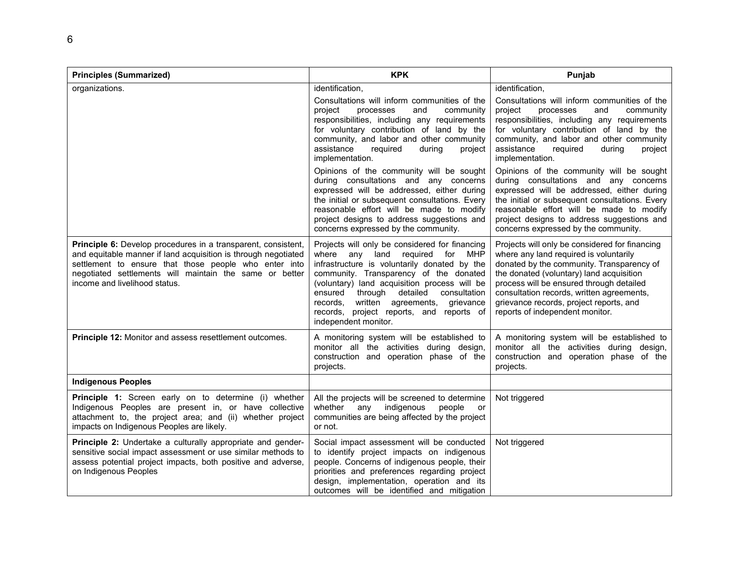| <b>Principles (Summarized)</b>                                                                                                                                                                                                                                                       | <b>KPK</b>                                                                                                                                                                                                                                                                                                                                                                                     | Punjab                                                                                                                                                                                                                                                                                                                                                   |  |
|--------------------------------------------------------------------------------------------------------------------------------------------------------------------------------------------------------------------------------------------------------------------------------------|------------------------------------------------------------------------------------------------------------------------------------------------------------------------------------------------------------------------------------------------------------------------------------------------------------------------------------------------------------------------------------------------|----------------------------------------------------------------------------------------------------------------------------------------------------------------------------------------------------------------------------------------------------------------------------------------------------------------------------------------------------------|--|
| organizations.                                                                                                                                                                                                                                                                       | identification,<br>Consultations will inform communities of the<br>project<br>processes<br>and<br>community<br>responsibilities, including any requirements<br>for voluntary contribution of land by the<br>community, and labor and other community<br>assistance<br>required<br>during<br>project<br>implementation.                                                                         | identification,<br>Consultations will inform communities of the<br>project<br>processes<br>and<br>community<br>responsibilities, including any requirements<br>for voluntary contribution of land by the<br>community, and labor and other community<br>assistance<br>required<br>during<br>project<br>implementation.                                   |  |
|                                                                                                                                                                                                                                                                                      | Opinions of the community will be sought<br>during consultations and any concerns<br>expressed will be addressed, either during<br>the initial or subsequent consultations. Every<br>reasonable effort will be made to modify<br>project designs to address suggestions and<br>concerns expressed by the community.                                                                            | Opinions of the community will be sought<br>during consultations and any concerns<br>expressed will be addressed, either during<br>the initial or subsequent consultations. Every<br>reasonable effort will be made to modify<br>project designs to address suggestions and<br>concerns expressed by the community.                                      |  |
| Principle 6: Develop procedures in a transparent, consistent,<br>and equitable manner if land acquisition is through negotiated<br>settlement to ensure that those people who enter into<br>negotiated settlements will maintain the same or better<br>income and livelihood status. | Projects will only be considered for financing<br>where any land required for MHP<br>infrastructure is voluntarily donated by the<br>community. Transparency of the donated<br>(voluntary) land acquisition process will be<br>through detailed<br>ensured<br>consultation<br>records,<br>written agreements,<br>grievance<br>records, project reports, and reports of<br>independent monitor. | Projects will only be considered for financing<br>where any land required is voluntarily<br>donated by the community. Transparency of<br>the donated (voluntary) land acquisition<br>process will be ensured through detailed<br>consultation records, written agreements,<br>grievance records, project reports, and<br>reports of independent monitor. |  |
| <b>Principle 12: Monitor and assess resettlement outcomes.</b>                                                                                                                                                                                                                       | A monitoring system will be established to<br>monitor all the activities during design,<br>construction and operation phase of the<br>projects.                                                                                                                                                                                                                                                | A monitoring system will be established to<br>monitor all the activities during design,<br>construction and operation phase of the<br>projects.                                                                                                                                                                                                          |  |
| <b>Indigenous Peoples</b>                                                                                                                                                                                                                                                            |                                                                                                                                                                                                                                                                                                                                                                                                |                                                                                                                                                                                                                                                                                                                                                          |  |
| Principle 1: Screen early on to determine (i) whether<br>Indigenous Peoples are present in, or have collective<br>attachment to, the project area; and (ii) whether project<br>impacts on Indigenous Peoples are likely.                                                             | All the projects will be screened to determine<br>whether any indigenous<br>people<br>or<br>communities are being affected by the project<br>or not.                                                                                                                                                                                                                                           | Not triggered                                                                                                                                                                                                                                                                                                                                            |  |
| Principle 2: Undertake a culturally appropriate and gender-<br>sensitive social impact assessment or use similar methods to<br>assess potential project impacts, both positive and adverse,<br>on Indigenous Peoples                                                                 | Social impact assessment will be conducted<br>to identify project impacts on indigenous<br>people. Concerns of indigenous people, their<br>priorities and preferences regarding project<br>design, implementation, operation and its<br>outcomes will be identified and mitigation                                                                                                             | Not triggered                                                                                                                                                                                                                                                                                                                                            |  |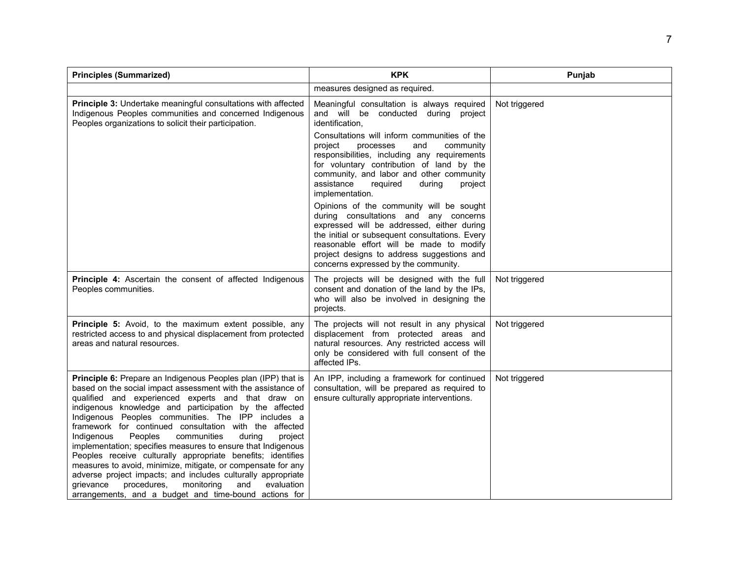| <b>Principles (Summarized)</b>                                                                                                                                                                                                                                                                                                                                                                                                                                                                                                                                                                                                                                                                                                                                                                                    | <b>KPK</b>                                                                                                                                                                                                                                                                                                                                                                                                                                                                                                                                                                                                                                                                                                                          | Punjab        |
|-------------------------------------------------------------------------------------------------------------------------------------------------------------------------------------------------------------------------------------------------------------------------------------------------------------------------------------------------------------------------------------------------------------------------------------------------------------------------------------------------------------------------------------------------------------------------------------------------------------------------------------------------------------------------------------------------------------------------------------------------------------------------------------------------------------------|-------------------------------------------------------------------------------------------------------------------------------------------------------------------------------------------------------------------------------------------------------------------------------------------------------------------------------------------------------------------------------------------------------------------------------------------------------------------------------------------------------------------------------------------------------------------------------------------------------------------------------------------------------------------------------------------------------------------------------------|---------------|
|                                                                                                                                                                                                                                                                                                                                                                                                                                                                                                                                                                                                                                                                                                                                                                                                                   | measures designed as required.                                                                                                                                                                                                                                                                                                                                                                                                                                                                                                                                                                                                                                                                                                      |               |
| <b>Principle 3:</b> Undertake meaningful consultations with affected<br>Indigenous Peoples communities and concerned Indigenous<br>Peoples organizations to solicit their participation.                                                                                                                                                                                                                                                                                                                                                                                                                                                                                                                                                                                                                          | Meaningful consultation is always required<br>and will be conducted during project<br>identification,<br>Consultations will inform communities of the<br>and<br>community<br>project<br>processes<br>responsibilities, including any requirements<br>for voluntary contribution of land by the<br>community, and labor and other community<br>assistance<br>required<br>during<br>project<br>implementation.<br>Opinions of the community will be sought<br>during consultations and any concerns<br>expressed will be addressed, either during<br>the initial or subsequent consultations. Every<br>reasonable effort will be made to modify<br>project designs to address suggestions and<br>concerns expressed by the community. | Not triggered |
| Principle 4: Ascertain the consent of affected Indigenous<br>Peoples communities.                                                                                                                                                                                                                                                                                                                                                                                                                                                                                                                                                                                                                                                                                                                                 | The projects will be designed with the full<br>consent and donation of the land by the IPs,<br>who will also be involved in designing the<br>projects.                                                                                                                                                                                                                                                                                                                                                                                                                                                                                                                                                                              | Not triggered |
| Principle 5: Avoid, to the maximum extent possible, any<br>restricted access to and physical displacement from protected<br>areas and natural resources.                                                                                                                                                                                                                                                                                                                                                                                                                                                                                                                                                                                                                                                          | The projects will not result in any physical<br>displacement from protected areas and<br>natural resources. Any restricted access will<br>only be considered with full consent of the<br>affected IPs.                                                                                                                                                                                                                                                                                                                                                                                                                                                                                                                              | Not triggered |
| Principle 6: Prepare an Indigenous Peoples plan (IPP) that is<br>based on the social impact assessment with the assistance of<br>qualified and experienced experts and that draw on<br>indigenous knowledge and participation by the affected<br>Indigenous Peoples communities. The IPP includes a<br>framework for continued consultation with the affected<br>Indigenous<br>Peoples<br>communities<br>during<br>project<br>implementation; specifies measures to ensure that Indigenous<br>Peoples receive culturally appropriate benefits; identifies<br>measures to avoid, minimize, mitigate, or compensate for any<br>adverse project impacts; and includes culturally appropriate<br>evaluation<br>grievance<br>procedures,<br>monitoring<br>and<br>arrangements, and a budget and time-bound actions for | An IPP, including a framework for continued<br>consultation, will be prepared as required to<br>ensure culturally appropriate interventions.                                                                                                                                                                                                                                                                                                                                                                                                                                                                                                                                                                                        | Not triggered |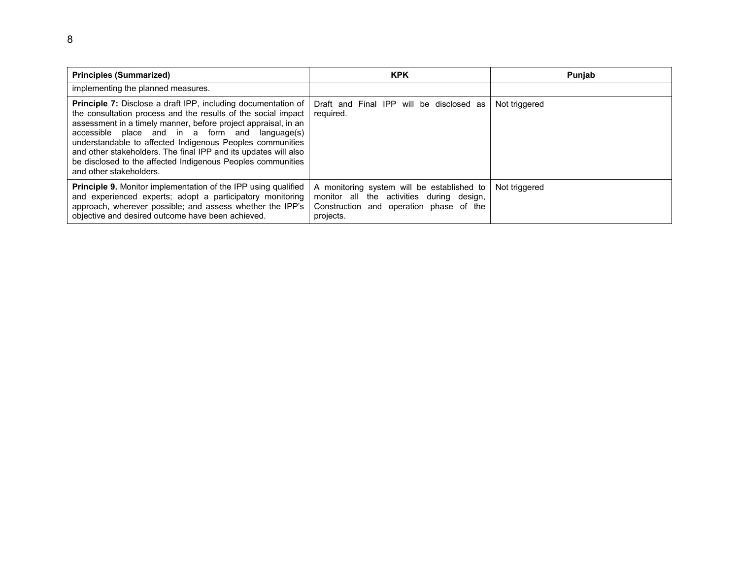| <b>Principles (Summarized)</b>                                                                                                                                                                                                                                                                                                                                                                                                                                                        | <b>KPK</b>                                                                                                                                      | Punjab        |
|---------------------------------------------------------------------------------------------------------------------------------------------------------------------------------------------------------------------------------------------------------------------------------------------------------------------------------------------------------------------------------------------------------------------------------------------------------------------------------------|-------------------------------------------------------------------------------------------------------------------------------------------------|---------------|
| implementing the planned measures.                                                                                                                                                                                                                                                                                                                                                                                                                                                    |                                                                                                                                                 |               |
| <b>Principle 7:</b> Disclose a draft IPP, including documentation of<br>the consultation process and the results of the social impact  <br>assessment in a timely manner, before project appraisal, in an<br>accessible place and in a form and language(s)<br>understandable to affected Indigenous Peoples communities<br>and other stakeholders. The final IPP and its updates will also<br>be disclosed to the affected Indigenous Peoples communities<br>and other stakeholders. | Draft and Final IPP will be disclosed as<br>required.                                                                                           | Not triggered |
| <b>Principle 9.</b> Monitor implementation of the IPP using qualified<br>and experienced experts; adopt a participatory monitoring<br>approach, wherever possible; and assess whether the IPP's<br>objective and desired outcome have been achieved.                                                                                                                                                                                                                                  | A monitoring system will be established to<br>monitor all the activities during design,<br>Construction and operation phase of the<br>projects. | Not triggered |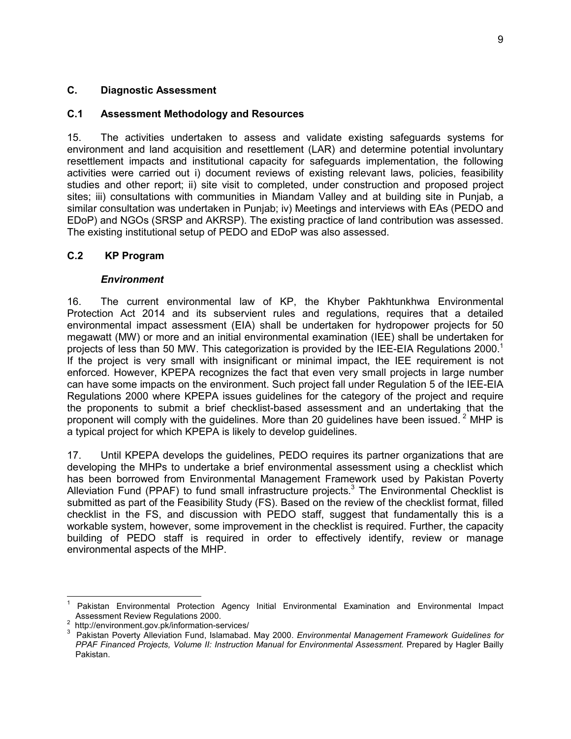#### **C. Diagnostic Assessment**

#### **C.1 Assessment Methodology and Resources**

15. The activities undertaken to assess and validate existing safeguards systems for environment and land acquisition and resettlement (LAR) and determine potential involuntary resettlement impacts and institutional capacity for safeguards implementation, the following activities were carried out i) document reviews of existing relevant laws, policies, feasibility studies and other report; ii) site visit to completed, under construction and proposed project sites; iii) consultations with communities in Miandam Valley and at building site in Punjab, a similar consultation was undertaken in Punjab; iv) Meetings and interviews with EAs (PEDO and EDoP) and NGOs (SRSP and AKRSP). The existing practice of land contribution was assessed. The existing institutional setup of PEDO and EDoP was also assessed.

#### **C.2 KP Program**

#### *Environment*

16. The current environmental law of KP, the Khyber Pakhtunkhwa Environmental Protection Act 2014 and its subservient rules and regulations, requires that a detailed environmental impact assessment (EIA) shall be undertaken for hydropower projects for 50 megawatt (MW) or more and an initial environmental examination (IEE) shall be undertaken for projects of less than 50 MW. This categorization is provided by the IEE-EIA Regulations 2000.<sup>1</sup> If the project is very small with insignificant or minimal impact, the IEE requirement is not enforced. However, KPEPA recognizes the fact that even very small projects in large number can have some impacts on the environment. Such project fall under Regulation 5 of the IEE-EIA Regulations 2000 where KPEPA issues guidelines for the category of the project and require the proponents to submit a brief checklist-based assessment and an undertaking that the proponent will comply with the guidelines. More than 20 guidelines have been issued.<sup>2</sup> MHP is a typical project for which KPEPA is likely to develop guidelines.

17. Until KPEPA develops the guidelines, PEDO requires its partner organizations that are developing the MHPs to undertake a brief environmental assessment using a checklist which has been borrowed from Environmental Management Framework used by Pakistan Poverty Alleviation Fund (PPAF) to fund small infrastructure projects.<sup>3</sup> The Environmental Checklist is submitted as part of the Feasibility Study (FS). Based on the review of the checklist format, filled checklist in the FS, and discussion with PEDO staff, suggest that fundamentally this is a workable system, however, some improvement in the checklist is required. Further, the capacity building of PEDO staff is required in order to effectively identify, review or manage environmental aspects of the MHP.

l

<sup>1</sup> Pakistan Environmental Protection Agency Initial Environmental Examination and Environmental Impact Assessment Review Regulations 2000.

 $2$  http://environment.gov.pk/information-services/

<sup>3</sup> Pakistan Poverty Alleviation Fund, Islamabad. May 2000. *Environmental Management Framework Guidelines for PPAF Financed Projects, Volume II: Instruction Manual for Environmental Assessment.* Prepared by Hagler Bailly Pakistan.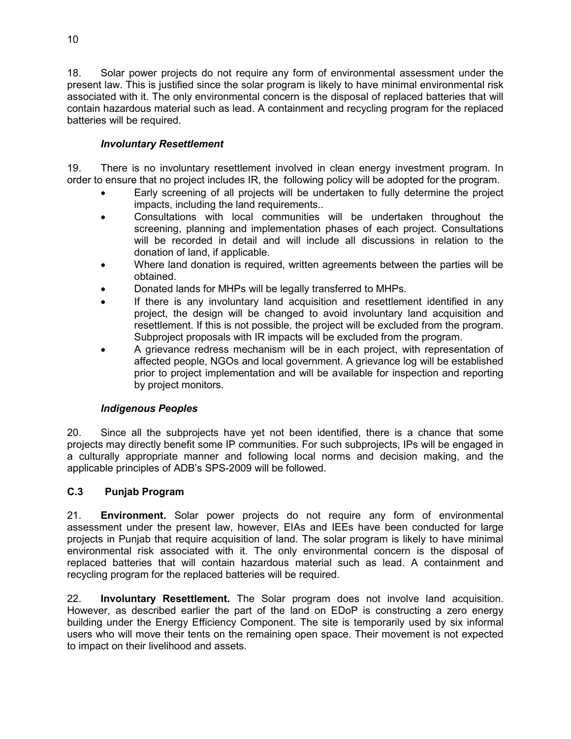18. Solar power projects do not require any form of environmental assessment under the present law. This is justified since the solar program is likely to have minimal environmental risk associated with it. The only environmental concern is the disposal of replaced batteries that will contain hazardous material such as lead. A containment and recycling program for the replaced batteries will be required.

### *Involuntary Resettlement*

19. There is no involuntary resettlement involved in clean energy investment program. In order to ensure that no project includes IR, the following policy will be adopted for the program.

- Early screening of all projects will be undertaken to fully determine the project impacts, including the land requirements..
- Consultations with local communities will be undertaken throughout the screening, planning and implementation phases of each project. Consultations will be recorded in detail and will include all discussions in relation to the donation of land, if applicable.
- Where land donation is required, written agreements between the parties will be obtained.
- Donated lands for MHPs will be legally transferred to MHPs.
- If there is any involuntary land acquisition and resettlement identified in any project, the design will be changed to avoid involuntary land acquisition and resettlement. If this is not possible, the project will be excluded from the program. Subproject proposals with IR impacts will be excluded from the program.
- A grievance redress mechanism will be in each project, with representation of affected people, NGOs and local government. A grievance log will be established prior to project implementation and will be available for inspection and reporting by project monitors.

#### *Indigenous Peoples*

20. Since all the subprojects have yet not been identified, there is a chance that some projects may directly benefit some IP communities. For such subprojects, IPs will be engaged in a culturally appropriate manner and following local norms and decision making, and the applicable principles of ADB's SPS-2009 will be followed.

## **C.3 Punjab Program**

21. **Environment.** Solar power projects do not require any form of environmental assessment under the present law, however, EIAs and IEEs have been conducted for large projects in Punjab that require acquisition of land. The solar program is likely to have minimal environmental risk associated with it. The only environmental concern is the disposal of replaced batteries that will contain hazardous material such as lead. A containment and recycling program for the replaced batteries will be required.

22. **Involuntary Resettlement.** The Solar program does not involve land acquisition. However, as described earlier the part of the land on EDoP is constructing a zero energy building under the Energy Efficiency Component. The site is temporarily used by six informal users who will move their tents on the remaining open space. Their movement is not expected to impact on their livelihood and assets.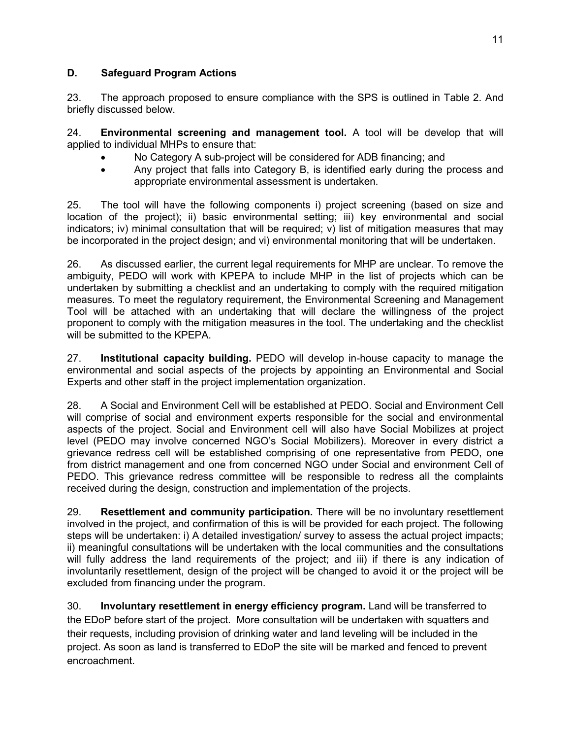## **D. Safeguard Program Actions**

23. The approach proposed to ensure compliance with the SPS is outlined in Table 2. And briefly discussed below.

24. **Environmental screening and management tool.** A tool will be develop that will applied to individual MHPs to ensure that:

- No Category A sub-project will be considered for ADB financing; and
- Any project that falls into Category B, is identified early during the process and appropriate environmental assessment is undertaken.

25. The tool will have the following components i) project screening (based on size and location of the project); ii) basic environmental setting; iii) key environmental and social indicators; iv) minimal consultation that will be required; v) list of mitigation measures that may be incorporated in the project design; and vi) environmental monitoring that will be undertaken.

26. As discussed earlier, the current legal requirements for MHP are unclear. To remove the ambiguity, PEDO will work with KPEPA to include MHP in the list of projects which can be undertaken by submitting a checklist and an undertaking to comply with the required mitigation measures. To meet the regulatory requirement, the Environmental Screening and Management Tool will be attached with an undertaking that will declare the willingness of the project proponent to comply with the mitigation measures in the tool. The undertaking and the checklist will be submitted to the KPEPA.

27. **Institutional capacity building.** PEDO will develop in-house capacity to manage the environmental and social aspects of the projects by appointing an Environmental and Social Experts and other staff in the project implementation organization.

28. A Social and Environment Cell will be established at PEDO. Social and Environment Cell will comprise of social and environment experts responsible for the social and environmental aspects of the project. Social and Environment cell will also have Social Mobilizes at project level (PEDO may involve concerned NGO's Social Mobilizers). Moreover in every district a grievance redress cell will be established comprising of one representative from PEDO, one from district management and one from concerned NGO under Social and environment Cell of PEDO. This grievance redress committee will be responsible to redress all the complaints received during the design, construction and implementation of the projects.

29. **Resettlement and community participation.** There will be no involuntary resettlement involved in the project, and confirmation of this is will be provided for each project. The following steps will be undertaken: i) A detailed investigation/ survey to assess the actual project impacts; ii) meaningful consultations will be undertaken with the local communities and the consultations will fully address the land requirements of the project; and iii) if there is any indication of involuntarily resettlement, design of the project will be changed to avoid it or the project will be excluded from financing under the program.

30. **Involuntary resettlement in energy efficiency program.** Land will be transferred to the EDoP before start of the project. More consultation will be undertaken with squatters and their requests, including provision of drinking water and land leveling will be included in the project. As soon as land is transferred to EDoP the site will be marked and fenced to prevent encroachment.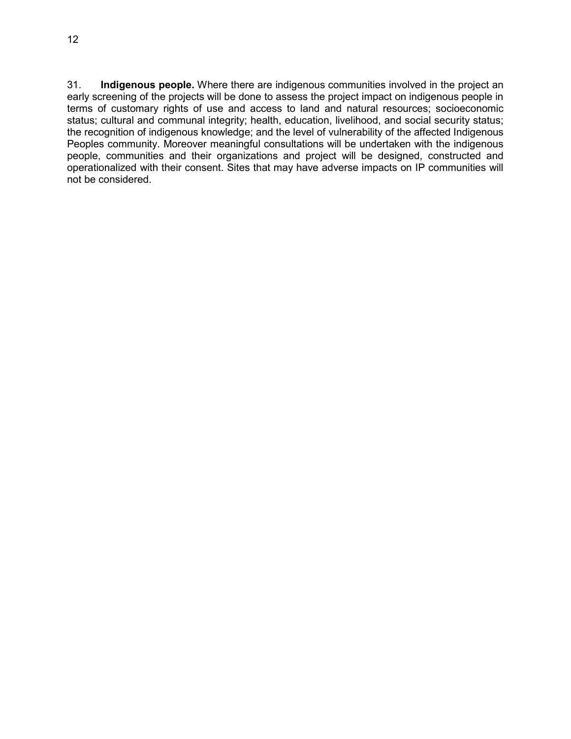31. **Indigenous people.** Where there are indigenous communities involved in the project an early screening of the projects will be done to assess the project impact on indigenous people in terms of customary rights of use and access to land and natural resources; socioeconomic status; cultural and communal integrity; health, education, livelihood, and social security status; the recognition of indigenous knowledge; and the level of vulnerability of the affected Indigenous Peoples community. Moreover meaningful consultations will be undertaken with the indigenous people, communities and their organizations and project will be designed, constructed and operationalized with their consent. Sites that may have adverse impacts on IP communities will not be considered.